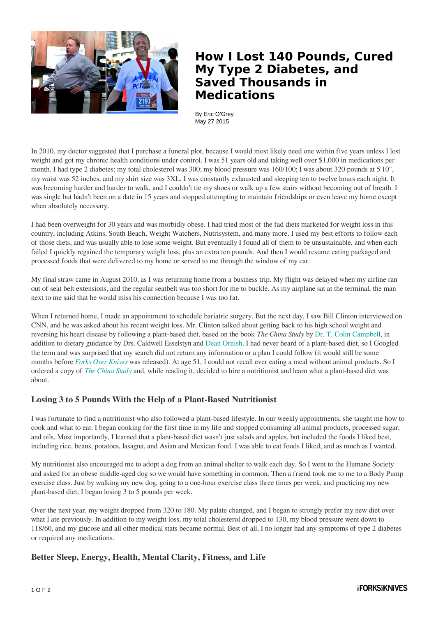

## **How I Lost 140 Pounds, Cured My Type 2 Diabetes, and Saved Thousands in Medications**

By Eric O'Grey May 27 2015

In 2010, my doctor suggested that I purchase a funeral plot, because I would most likely need one within five years unless I lost weight and got my chronic health conditions under control. I was 51 years old and taking well over \$1,000 in medications per month. I had type 2 diabetes; my total cholesterol was 300; my blood pressure was 160/100; I was about 320 pounds at 5'10", my waist was 52 inches, and my shirt size was 3XL. I was constantly exhausted and sleeping ten to twelve hours each night. It was becoming harder and harder to walk, and I couldn't tie my shoes or walk up a few stairs without becoming out of breath. I was single but hadn't been on a date in 15 years and stopped attempting to maintain friendships or even leave my home except when absolutely necessary.

I had been overweight for 30 years and was morbidly obese. I had tried most of the fad diets marketed for weight loss in this country, including Atkins, South Beach, Weight Watchers, Nutrisystem, and many more. I used my best efforts to follow each of those diets, and was usually able to lose some weight. But eventually I found all of them to be unsustainable, and when each failed I quickly regained the temporary weight loss, plus an extra ten pounds. And then I would resume eating packaged and processed foods that were delivered to my home or served to me through the window of my car.

My final straw came in August 2010, as I was returning home from a business trip. My flight was delayed when my airline ran out of seat belt extensions, and the regular seatbelt was too short for me to buckle. As my airplane sat at the terminal, the man next to me said that he would miss his connection because I was too fat.

When I returned home, I made an appointment to schedule bariatric surgery. But the next day, I saw Bill Clinton interviewed on CNN, and he was asked about his recent weight loss. Mr. Clinton talked about getting back to his high school weight and reversing his heart disease by following a plant-based diet, based on the book *The China Study* by [Dr. T. Colin Campbell,](http://www.forksoverknives.com/contributors/t-colin-campbell-ph-d/) in addition to dietary guidance by Drs. Caldwell Esselstyn and [Dean Ornish](http://www.forksoverknives.com/contributors/dean-ornish-md/). I had never heard of a plant-based diet, so I Googled the term and was surprised that my search did not return any information or a plan I could follow (it would still be some months before *[Forks Over Knives](http://www.forksoverknives.com/the-film/)* was released). At age 51, I could not recall ever eating a meal without animal products. So I ordered a copy of *[The China Study](http://www.forksoverknives.com/product/the-china-study/)* and, while reading it, decided to hire a nutritionist and learn what a plant-based diet was about.

## **Losing 3 to 5 Pounds With the Help of a Plant-Based Nutritionist**

I was fortunate to find a nutritionist who also followed a plant-based lifestyle. In our weekly appointments, she taught me how to cook and what to eat. I began cooking for the first time in my life and stopped consuming all animal products, processed sugar, and oils. Most importantly, I learned that a plant-based diet wasn't just salads and apples, but included the foods I liked best, including rice, beans, potatoes, lasagna, and Asian and Mexican food. I was able to eat foods I liked, and as much as I wanted.

My nutritionist also encouraged me to adopt a dog from an animal shelter to walk each day. So I went to the Humane Society and asked for an obese middle-aged dog so we would have something in common. Then a friend took me to me to a Body Pump exercise class. Just by walking my new dog, going to a one-hour exercise class three times per week, and practicing my new plant-based diet, I began losing 3 to 5 pounds per week.

Over the next year, my weight dropped from 320 to 180. My palate changed, and I began to strongly prefer my new diet over what I ate previously. In addition to my weight loss, my total cholesterol dropped to 130, my blood pressure went down to 118/60, and my glucose and all other medical stats became normal. Best of all, I no longer had any symptoms of type 2 diabetes or required any medications.

## **Better Sleep, Energy, Health, Mental Clarity, Fitness, and Life**